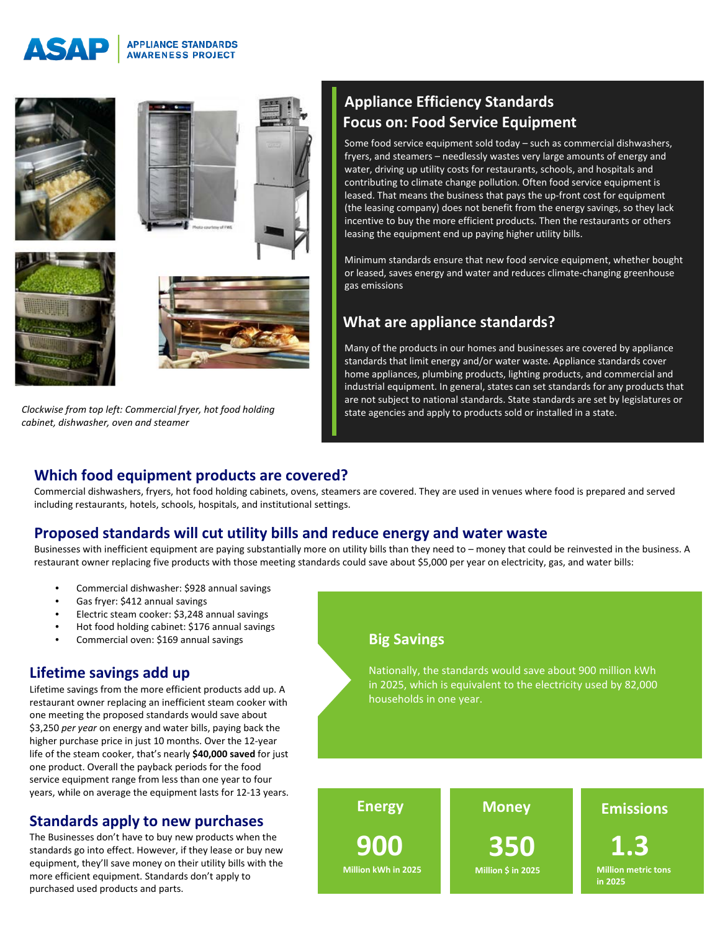#### **APPLIANCE STANDARDS** INIP **AWARENESS PROJECT**



*Clockwise from top left: Commercial fryer, hot food holding cabinet, dishwasher, oven and steamer*

# **Appliance Efficiency Standards Focus on: Food Service Equipment**

Some food service equipment sold today – such as commercial dishwashers, fryers, and steamers – needlessly wastes very large amounts of energy and water, driving up utility costs for restaurants, schools, and hospitals and contributing to climate change pollution. Often food service equipment is leased. That means the business that pays the up-front cost for equipment (the leasing company) does not benefit from the energy savings, so they lack incentive to buy the more efficient products. Then the restaurants or others leasing the equipment end up paying higher utility bills.

Minimum standards ensure that new food service equipment, whether bought or leased, saves energy and water and reduces climate-changing greenhouse gas emissions

# **What are appliance standards?**

Many of the products in our homes and businesses are covered by appliance standards that limit energy and/or water waste. Appliance standards cover home appliances, plumbing products, lighting products, and commercial and industrial equipment. In general, states can set standards for any products that are not subject to national standards. State standards are set by legislatures or state agencies and apply to products sold or installed in a state.

#### **Which food equipment products are covered?**

Commercial dishwashers, fryers, hot food holding cabinets, ovens, steamers are covered. They are used in venues where food is prepared and served including restaurants, hotels, schools, hospitals, and institutional settings.

#### **Proposed standards will cut utility bills and reduce energy and water waste**

Businesses with inefficient equipment are paying substantially more on utility bills than they need to – money that could be reinvested in the business. A restaurant owner replacing five products with those meeting standards could save about \$5,000 per year on electricity, gas, and water bills:

- Commercial dishwasher: \$928 annual savings
- Gas fryer: \$412 annual savings
- Electric steam cooker: \$3,248 annual savings
- Hot food holding cabinet: \$176 annual savings
- Commercial oven: \$169 annual savings

### **Lifetime savings add up**

Lifetime savings from the more efficient products add up. A restaurant owner replacing an inefficient steam cooker with one meeting the proposed standards would save about \$3,250 *per year* on energy and water bills, paying back the higher purchase price in just 10 months. Over the 12-year life of the steam cooker, that's nearly **\$40,000 saved** for just one product. Overall the payback periods for the food service equipment range from less than one year to four years, while on average the equipment lasts for 12-13 years.

#### **Standards apply to new purchases**

The Businesses don't have to buy new products when the standards go into effect. However, if they lease or buy new equipment, they'll save money on their utility bills with the more efficient equipment. Standards don't apply to purchased used products and parts.

# **Big Savings**

Nationally, the standards would save about 900 million kWh in 2025, which is equivalent to the electricity used by 82,000 households in one year.

**Energy Money Emissions 900 Million kWh in 2025 350 Million \$ in 2025 1.3 Million metric tons in 2025**